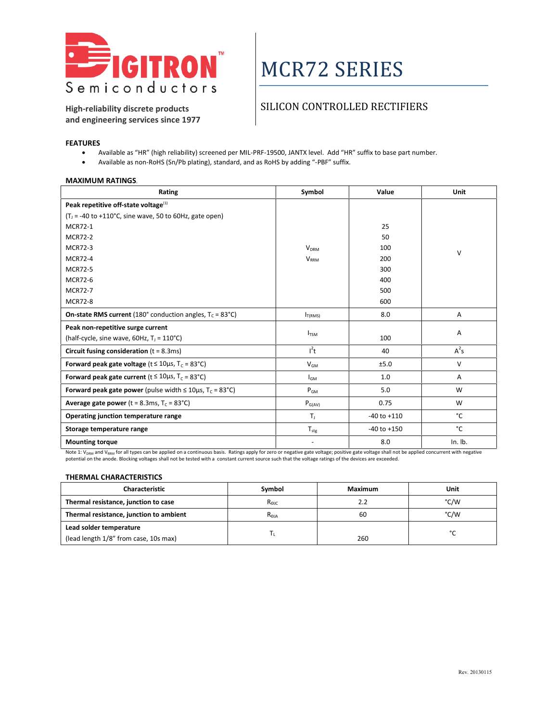

# MCR72 SERIES

**High-reliability discrete products and engineering services since 1977**

### SILICON CONTROLLED RECTIFIERS

#### **FEATURES**

- Available as "HR" (high reliability) screened per MIL-PRF-19500, JANTX level. Add "HR" suffix to base part number.
- Available as non-RoHS (Sn/Pb plating), standard, and as RoHS by adding "-PBF" suffix.

#### **MAXIMUM RATINGS**.

| Rating                                                                                | Symbol                  | Value           | Unit           |
|---------------------------------------------------------------------------------------|-------------------------|-----------------|----------------|
| Peak repetitive off-state voltage $^{(1)}$                                            |                         |                 |                |
| $(T1 = -40$ to +110°C, sine wave, 50 to 60Hz, gate open)                              |                         |                 |                |
| <b>MCR72-1</b>                                                                        |                         | 25              |                |
| <b>MCR72-2</b>                                                                        |                         | 50              |                |
| <b>MCR72-3</b>                                                                        | <b>V<sub>DRM</sub></b>  | 100             | $\vee$         |
| <b>MCR72-4</b>                                                                        | <b>V<sub>RRM</sub></b>  | 200             |                |
| <b>MCR72-5</b>                                                                        |                         | 300             |                |
| <b>MCR72-6</b>                                                                        |                         | 400             |                |
| <b>MCR72-7</b>                                                                        |                         | 500             |                |
| <b>MCR72-8</b>                                                                        |                         | 600             |                |
| <b>On-state RMS current</b> (180 $^{\circ}$ conduction angles, $T_c = 83 \degree C$ ) | $I_{T(RMS)}$            | 8.0             | $\overline{A}$ |
| Peak non-repetitive surge current                                                     |                         |                 |                |
| (half-cycle, sine wave, 60Hz, T <sub>J</sub> = 110°C)                                 | <b>I</b> <sub>TSM</sub> | 100             | Α              |
| Circuit fusing consideration $(t = 8.3 \text{ms})$                                    | $l^2t$                  | 40              | $A^2s$         |
| Forward peak gate voltage ( $t \le 10\mu s$ , T <sub>c</sub> = 83°C)                  | $V_{GM}$                | ±5.0            | $\vee$         |
| Forward peak gate current ( $t \le 10\mu s$ , T <sub>c</sub> = 83°C)                  | l <sub>GM</sub>         | 1.0             | Α              |
| Forward peak gate power (pulse width $\leq 10 \mu s$ , T <sub>c</sub> = 83°C)         | $P_{GM}$                | 5.0             | W              |
| <b>Average gate power</b> ( $t = 8.3$ ms, $T_c = 83^{\circ}C$ )                       | $P_{G(AV)}$             | 0.75            | W              |
| Operating junction temperature range                                                  | $T_{\perp}$             | $-40$ to $+110$ | °C             |
| Storage temperature range                                                             | $T_{\text{stg}}$        | $-40$ to $+150$ | °C             |
| <b>Mounting torque</b>                                                                |                         | 8.0             | In. lb.        |

Note 1: V<sub>DRM</sub> and V<sub>RRM</sub> for all types can be applied on a continuous basis. Ratings apply for zero or negative gate voltage; positive gate voltage shall not be applied concurrent with negative potential on the anode. Blocking voltages shall not be tested with a constant current source such that the voltage ratings of the devices are exceeded.

#### **THERMAL CHARACTERISTICS**

| <b>Characteristic</b>                   | Symbol          | Maximum | Unit |
|-----------------------------------------|-----------------|---------|------|
| Thermal resistance, junction to case    | $R_{\Theta C}$  | 2.2     | °C/W |
| Thermal resistance, junction to ambient | $R_{\Theta JA}$ | 60      | °C/W |
| Lead solder temperature                 |                 |         | ∘∩   |
| (lead length 1/8" from case, 10s max)   |                 | 260     |      |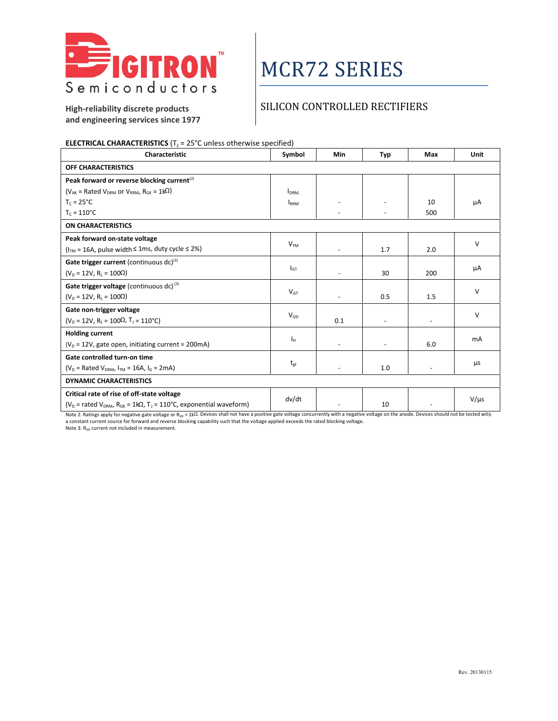

# MCR72 SERIES

### SILICON CONTROLLED RECTIFIERS

**High-reliability discrete products and engineering services since 1977**

### **ELECTRICAL CHARACTERISTICS** ( $T<sub>j</sub> = 25$ °C unless otherwise specified)

| Characteristic                                                                                     | Symbol           | Min                      | <b>Typ</b> | Max                      | <b>Unit</b> |
|----------------------------------------------------------------------------------------------------|------------------|--------------------------|------------|--------------------------|-------------|
| OFF CHARACTERISTICS                                                                                |                  |                          |            |                          |             |
| Peak forward or reverse blocking current <sup>(2)</sup>                                            |                  |                          |            |                          |             |
| ( $V_{AK}$ = Rated $V_{DRM}$ or $V_{RRM}$ , $R_{GK}$ = 1k $\Omega$ )                               | I <sub>DRM</sub> |                          |            |                          |             |
| $T_c = 25^{\circ}C$                                                                                | <b>IRRM</b>      |                          |            | 10                       | μA          |
| $T_c = 110^{\circ}C$                                                                               |                  |                          |            | 500                      |             |
| <b>ON CHARACTERISTICS</b>                                                                          |                  |                          |            |                          |             |
| Peak forward on-state voltage                                                                      | V <sub>TM</sub>  |                          |            |                          | $\vee$      |
| ( $ITM = 16A$ , pulse width $\leq 1$ ms, duty cycle $\leq 2\%$ )                                   |                  |                          | 1.7        | 2.0                      |             |
| Gate trigger current (continuous $dc$ ) <sup>(3)</sup>                                             |                  |                          |            |                          |             |
| $(V_D = 12V, R_1 = 100\Omega)$                                                                     | $I_{GT}$         |                          | 30         | 200                      | μA          |
| Gate trigger voltage (continuous dc) $(3)$                                                         |                  |                          |            |                          |             |
| $(V_D = 12V, R_1 = 100\Omega)$                                                                     | V <sub>GT</sub>  | $\overline{\phantom{a}}$ | 0.5        | 1.5                      | $\vee$      |
| Gate non-trigger voltage                                                                           |                  |                          |            |                          | $\vee$      |
| $(V_D = 12V, R_L = 100\Omega, T_J = 110^{\circ}C)$                                                 | $V_{GD}$         | 0.1                      |            |                          |             |
| <b>Holding current</b>                                                                             |                  |                          |            |                          |             |
| $(V_D = 12V$ , gate open, initiating current = 200mA)                                              | Iн               |                          |            | 6.0                      | mA          |
| Gate controlled turn-on time                                                                       |                  |                          |            |                          |             |
| ( $V_D$ = Rated $V_{DRM}$ , $I_{TM}$ = 16A, $I_G$ = 2mA)                                           | $t_{gt}$         |                          | 1.0        | $\overline{\phantom{a}}$ | μs          |
| <b>DYNAMIC CHARACTERISTICS</b>                                                                     |                  |                          |            |                          |             |
| Critical rate of rise of off-state voltage                                                         |                  |                          |            |                          |             |
| ( $V_D$ = rated $V_{DRM}$ , $R_{GK}$ = 1k $\Omega$ , T <sub>J</sub> = 110°C, exponential waveform) | dv/dt            |                          | 10         |                          | $V/\mu s$   |

Note 2. Ratings apply for negative gate voltage or R<sub>GK</sub> = 1kΩ. Devices shall not have a positive gate voltage concurrently with a negative voltage on the anode. Devices should not be tested with<br>a constant current not in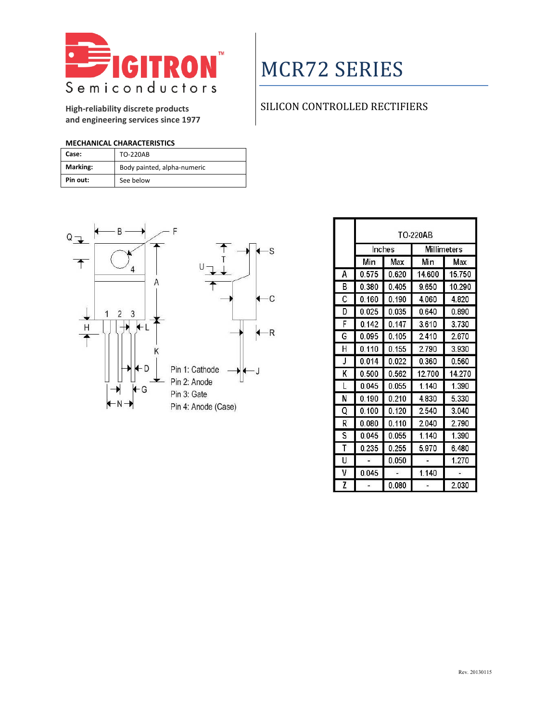

## MCR72 SERIES

**High-reliability discrete products and engineering services since 1977**

## SILICON CONTROLLED RECTIFIERS

### **MECHANICAL CHARACTERISTICS**

| Case:    | <b>TO-220AB</b>             |
|----------|-----------------------------|
| Marking: | Body painted, alpha-numeric |
| Pin out: | See below                   |



|    | TO-220AB |       |        |             |
|----|----------|-------|--------|-------------|
|    | Inches   |       |        | Millimeters |
|    | Min      | Max   | Min    | Max         |
| А  | 0.575    | 0.620 | 14.600 | 15.750      |
| В  | 0.380    | 0.405 | 9.650  | 10.290      |
| С  | 0.160    | 0.190 | 4.060  | 4.820       |
| D  | 0.025    | 0.035 | 0.640  | 0.890       |
| F  | 0.142    | 0.147 | 3.610  | 3.730       |
| G  | 0.095    | 0.105 | 2.410  | 2.670       |
| н  | 0.110    | 0.155 | 2790   | 3.930       |
| J  | 0.014    | 0.022 | 0.360  | 0.560       |
| κ  | 0.500    | 0.562 | 12.700 | 14.270      |
| L  | 0.045    | 0.055 | 1.140  | 1.390       |
| N  | 0.190    | 0.210 | 4830   | 5.330       |
| Q  | 0.100    | 0.120 | 2.540  | 3.040       |
| R  | 0.080    | 0.110 | 2.040  | 2.790       |
| S  | 0.045    | 0.055 | 1.140  | 1.390       |
| т  | 0.235    | 0.255 | 5.970  | 6.480       |
| U. |          | 0.050 |        | 1.270       |
| ۷  | 0.045    |       | 1.140  |             |
| Z  |          | 0.080 |        | 2.030       |